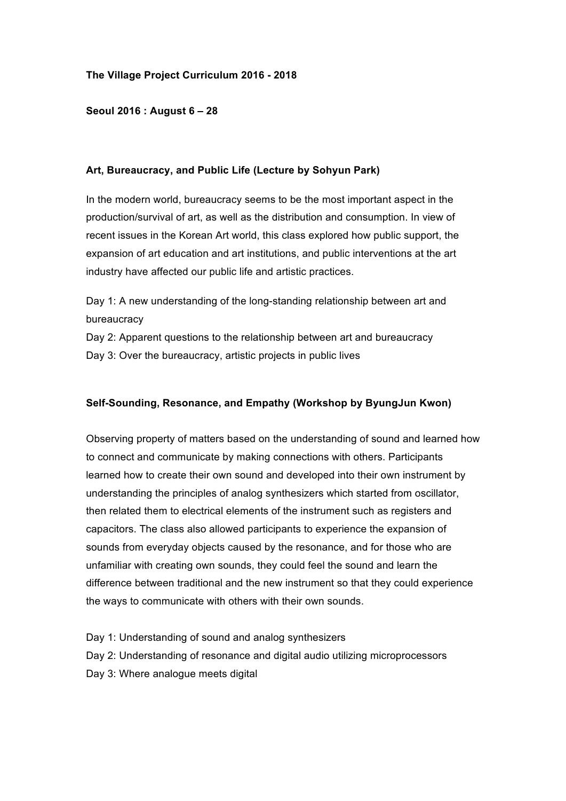## **The Village Project Curriculum 2016 - 2018**

## **Seoul 2016 : August 6 – 28**

#### **Art, Bureaucracy, and Public Life (Lecture by Sohyun Park)**

In the modern world, bureaucracy seems to be the most important aspect in the production/survival of art, as well as the distribution and consumption. In view of recent issues in the Korean Art world, this class explored how public support, the expansion of art education and art institutions, and public interventions at the art industry have affected our public life and artistic practices.

Day 1: A new understanding of the long-standing relationship between art and bureaucracy

Day 2: Apparent questions to the relationship between art and bureaucracy Day 3: Over the bureaucracy, artistic projects in public lives

#### **Self-Sounding, Resonance, and Empathy (Workshop by ByungJun Kwon)**

Observing property of matters based on the understanding of sound and learned how to connect and communicate by making connections with others. Participants learned how to create their own sound and developed into their own instrument by understanding the principles of analog synthesizers which started from oscillator, then related them to electrical elements of the instrument such as registers and capacitors. The class also allowed participants to experience the expansion of sounds from everyday objects caused by the resonance, and for those who are unfamiliar with creating own sounds, they could feel the sound and learn the difference between traditional and the new instrument so that they could experience the ways to communicate with others with their own sounds.

Day 1: Understanding of sound and analog synthesizers Day 2: Understanding of resonance and digital audio utilizing microprocessors Day 3: Where analogue meets digital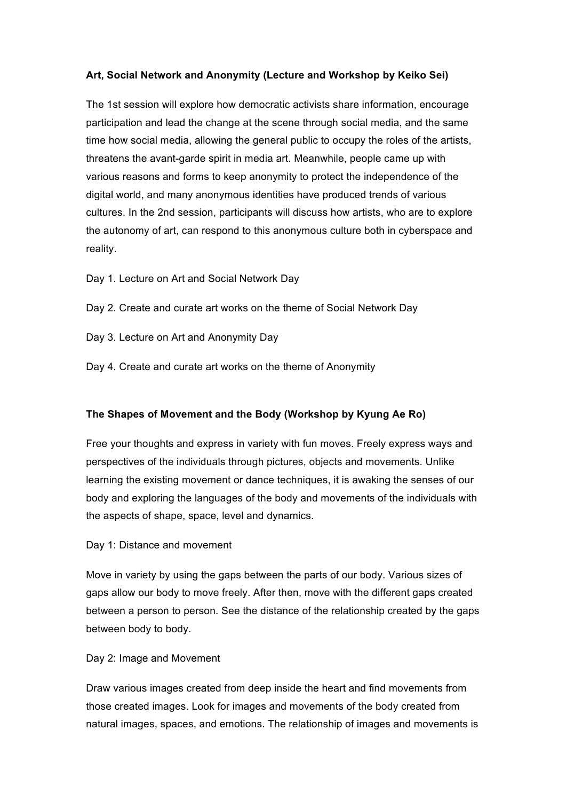## **Art, Social Network and Anonymity (Lecture and Workshop by Keiko Sei)**

The 1st session will explore how democratic activists share information, encourage participation and lead the change at the scene through social media, and the same time how social media, allowing the general public to occupy the roles of the artists, threatens the avant-garde spirit in media art. Meanwhile, people came up with various reasons and forms to keep anonymity to protect the independence of the digital world, and many anonymous identities have produced trends of various cultures. In the 2nd session, participants will discuss how artists, who are to explore the autonomy of art, can respond to this anonymous culture both in cyberspace and reality.

Day 1. Lecture on Art and Social Network Day

Day 2. Create and curate art works on the theme of Social Network Day

Day 3. Lecture on Art and Anonymity Day

Day 4. Create and curate art works on the theme of Anonymity

## **The Shapes of Movement and the Body (Workshop by Kyung Ae Ro)**

Free your thoughts and express in variety with fun moves. Freely express ways and perspectives of the individuals through pictures, objects and movements. Unlike learning the existing movement or dance techniques, it is awaking the senses of our body and exploring the languages of the body and movements of the individuals with the aspects of shape, space, level and dynamics.

Day 1: Distance and movement

Move in variety by using the gaps between the parts of our body. Various sizes of gaps allow our body to move freely. After then, move with the different gaps created between a person to person. See the distance of the relationship created by the gaps between body to body.

## Day 2: Image and Movement

Draw various images created from deep inside the heart and find movements from those created images. Look for images and movements of the body created from natural images, spaces, and emotions. The relationship of images and movements is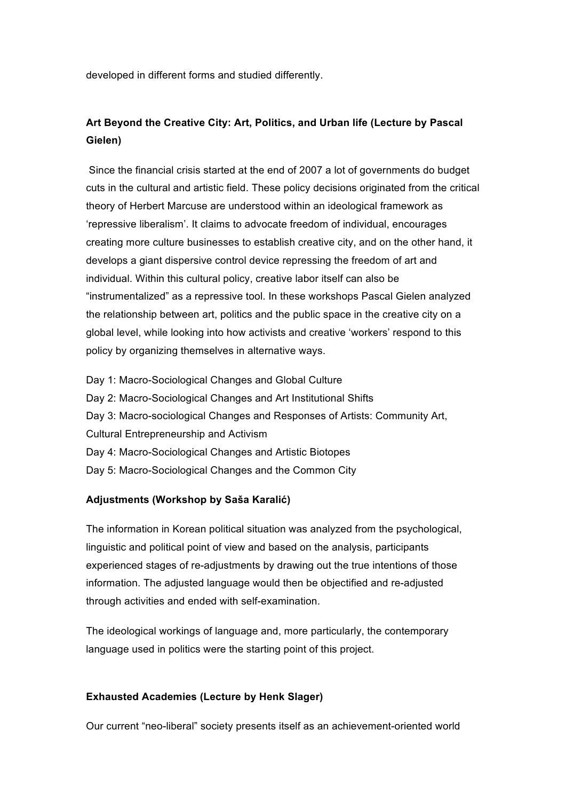developed in different forms and studied differently.

# **Art Beyond the Creative City: Art, Politics, and Urban life (Lecture by Pascal Gielen)**

Since the financial crisis started at the end of 2007 a lot of governments do budget cuts in the cultural and artistic field. These policy decisions originated from the critical theory of Herbert Marcuse are understood within an ideological framework as 'repressive liberalism'. It claims to advocate freedom of individual, encourages creating more culture businesses to establish creative city, and on the other hand, it develops a giant dispersive control device repressing the freedom of art and individual. Within this cultural policy, creative labor itself can also be "instrumentalized" as a repressive tool. In these workshops Pascal Gielen analyzed the relationship between art, politics and the public space in the creative city on a global level, while looking into how activists and creative 'workers' respond to this policy by organizing themselves in alternative ways.

Day 1: Macro-Sociological Changes and Global Culture Day 2: Macro-Sociological Changes and Art Institutional Shifts Day 3: Macro-sociological Changes and Responses of Artists: Community Art, Cultural Entrepreneurship and Activism Day 4: Macro-Sociological Changes and Artistic Biotopes Day 5: Macro-Sociological Changes and the Common City

## **Adjustments (Workshop by Saša Karalić)**

The information in Korean political situation was analyzed from the psychological, linguistic and political point of view and based on the analysis, participants experienced stages of re-adjustments by drawing out the true intentions of those information. The adjusted language would then be objectified and re-adjusted through activities and ended with self-examination.

The ideological workings of language and, more particularly, the contemporary language used in politics were the starting point of this project.

#### **Exhausted Academies (Lecture by Henk Slager)**

Our current "neo-liberal" society presents itself as an achievement-oriented world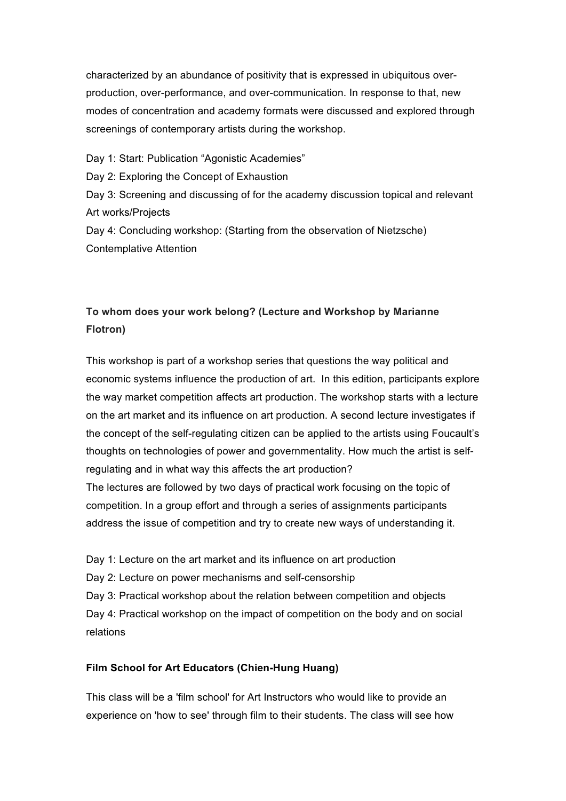characterized by an abundance of positivity that is expressed in ubiquitous overproduction, over-performance, and over-communication. In response to that, new modes of concentration and academy formats were discussed and explored through screenings of contemporary artists during the workshop.

Day 1: Start: Publication "Agonistic Academies" Day 2: Exploring the Concept of Exhaustion Day 3: Screening and discussing of for the academy discussion topical and relevant Art works/Projects Day 4: Concluding workshop: (Starting from the observation of Nietzsche) Contemplative Attention

# **To whom does your work belong? (Lecture and Workshop by Marianne Flotron)**

This workshop is part of a workshop series that questions the way political and economic systems influence the production of art. In this edition, participants explore the way market competition affects art production. The workshop starts with a lecture on the art market and its influence on art production. A second lecture investigates if the concept of the self-regulating citizen can be applied to the artists using Foucault's thoughts on technologies of power and governmentality. How much the artist is selfregulating and in what way this affects the art production?

The lectures are followed by two days of practical work focusing on the topic of competition. In a group effort and through a series of assignments participants address the issue of competition and try to create new ways of understanding it.

Day 1: Lecture on the art market and its influence on art production Day 2: Lecture on power mechanisms and self-censorship Day 3: Practical workshop about the relation between competition and objects Day 4: Practical workshop on the impact of competition on the body and on social relations

# **Film School for Art Educators (Chien-Hung Huang)**

This class will be a 'film school' for Art Instructors who would like to provide an experience on 'how to see' through film to their students. The class will see how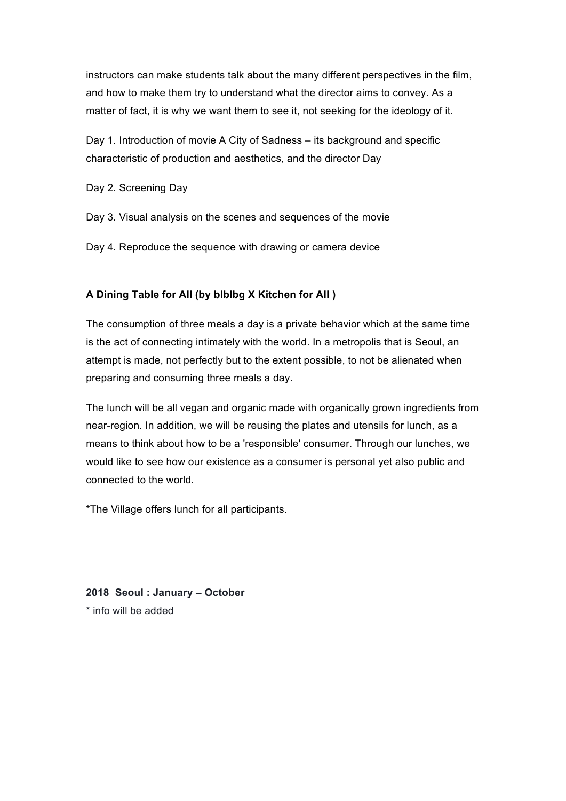instructors can make students talk about the many different perspectives in the film, and how to make them try to understand what the director aims to convey. As a matter of fact, it is why we want them to see it, not seeking for the ideology of it.

Day 1. Introduction of movie A City of Sadness – its background and specific characteristic of production and aesthetics, and the director Day

Day 2. Screening Day

Day 3. Visual analysis on the scenes and sequences of the movie

Day 4. Reproduce the sequence with drawing or camera device

# **A Dining Table for All (by blblbg X Kitchen for All )**

The consumption of three meals a day is a private behavior which at the same time is the act of connecting intimately with the world. In a metropolis that is Seoul, an attempt is made, not perfectly but to the extent possible, to not be alienated when preparing and consuming three meals a day.

The lunch will be all vegan and organic made with organically grown ingredients from near-region. In addition, we will be reusing the plates and utensils for lunch, as a means to think about how to be a 'responsible' consumer. Through our lunches, we would like to see how our existence as a consumer is personal yet also public and connected to the world.

\*The Village offers lunch for all participants.

**2018 Seoul : January – October** \* info will be added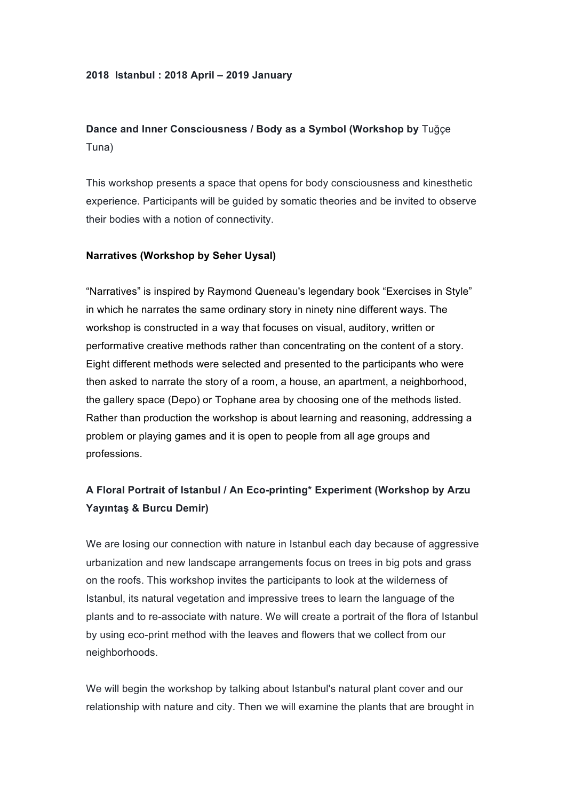#### **2018 Istanbul : 2018 April – 2019 January**

# **Dance and Inner Consciousness / Body as a Symbol (Workshop by** Tuğçe Tuna)

This workshop presents a space that opens for body consciousness and kinesthetic experience. Participants will be guided by somatic theories and be invited to observe their bodies with a notion of connectivity.

## **Narratives (Workshop by Seher Uysal)**

"Narratives" is inspired by Raymond Queneau's legendary book "Exercises in Style" in which he narrates the same ordinary story in ninety nine different ways. The workshop is constructed in a way that focuses on visual, auditory, written or performative creative methods rather than concentrating on the content of a story. Eight different methods were selected and presented to the participants who were then asked to narrate the story of a room, a house, an apartment, a neighborhood, the gallery space (Depo) or Tophane area by choosing one of the methods listed. Rather than production the workshop is about learning and reasoning, addressing a problem or playing games and it is open to people from all age groups and professions.

# **A Floral Portrait of Istanbul / An Eco-printing\* Experiment (Workshop by Arzu Yayıntaş & Burcu Demir)**

We are losing our connection with nature in Istanbul each day because of aggressive urbanization and new landscape arrangements focus on trees in big pots and grass on the roofs. This workshop invites the participants to look at the wilderness of Istanbul, its natural vegetation and impressive trees to learn the language of the plants and to re-associate with nature. We will create a portrait of the flora of Istanbul by using eco-print method with the leaves and flowers that we collect from our neighborhoods.

We will begin the workshop by talking about Istanbul's natural plant cover and our relationship with nature and city. Then we will examine the plants that are brought in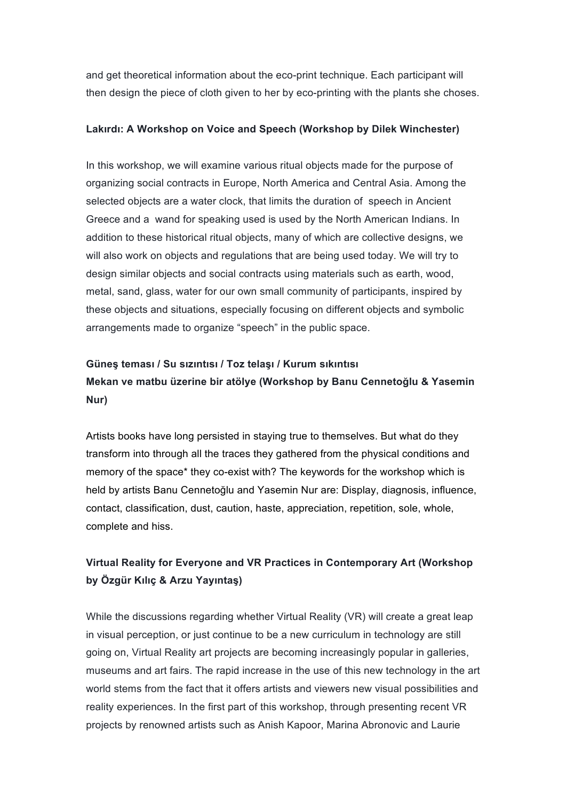and get theoretical information about the eco-print technique. Each participant will then design the piece of cloth given to her by eco-printing with the plants she choses.

#### **Lakırdı: A Workshop on Voice and Speech (Workshop by Dilek Winchester)**

In this workshop, we will examine various ritual objects made for the purpose of organizing social contracts in Europe, North America and Central Asia. Among the selected objects are a water clock, that limits the duration of speech in Ancient Greece and a wand for speaking used is used by the North American Indians. In addition to these historical ritual objects, many of which are collective designs, we will also work on objects and regulations that are being used today. We will try to design similar objects and social contracts using materials such as earth, wood, metal, sand, glass, water for our own small community of participants, inspired by these objects and situations, especially focusing on different objects and symbolic arrangements made to organize "speech" in the public space.

# **Güneş teması / Su sızıntısı / Toz telaşı / Kurum sıkıntısı Mekan ve matbu üzerine bir atölye (Workshop by Banu Cennetoğlu & Yasemin Nur)**

Artists books have long persisted in staying true to themselves. But what do they transform into through all the traces they gathered from the physical conditions and memory of the space\* they co-exist with? The keywords for the workshop which is held by artists Banu Cennetoğlu and Yasemin Nur are: Display, diagnosis, influence, contact, classification, dust, caution, haste, appreciation, repetition, sole, whole, complete and hiss.

# **Virtual Reality for Everyone and VR Practices in Contemporary Art (Workshop by Özgür Kılıç & Arzu Yayıntaş)**

While the discussions regarding whether Virtual Reality (VR) will create a great leap in visual perception, or just continue to be a new curriculum in technology are still going on, Virtual Reality art projects are becoming increasingly popular in galleries, museums and art fairs. The rapid increase in the use of this new technology in the art world stems from the fact that it offers artists and viewers new visual possibilities and reality experiences. In the first part of this workshop, through presenting recent VR projects by renowned artists such as Anish Kapoor, Marina Abronovic and Laurie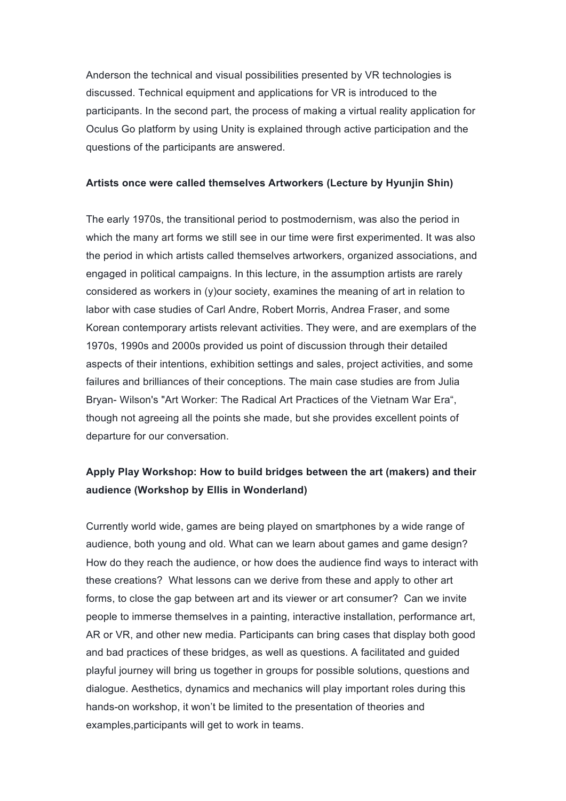Anderson the technical and visual possibilities presented by VR technologies is discussed. Technical equipment and applications for VR is introduced to the participants. In the second part, the process of making a virtual reality application for Oculus Go platform by using Unity is explained through active participation and the questions of the participants are answered.

#### **Artists once were called themselves Artworkers (Lecture by Hyunjin Shin)**

The early 1970s, the transitional period to postmodernism, was also the period in which the many art forms we still see in our time were first experimented. It was also the period in which artists called themselves artworkers, organized associations, and engaged in political campaigns. In this lecture, in the assumption artists are rarely considered as workers in (y)our society, examines the meaning of art in relation to labor with case studies of Carl Andre, Robert Morris, Andrea Fraser, and some Korean contemporary artists relevant activities. They were, and are exemplars of the 1970s, 1990s and 2000s provided us point of discussion through their detailed aspects of their intentions, exhibition settings and sales, project activities, and some failures and brilliances of their conceptions. The main case studies are from Julia Bryan- Wilson's "Art Worker: The Radical Art Practices of the Vietnam War Era", though not agreeing all the points she made, but she provides excellent points of departure for our conversation.

# **Apply Play Workshop: How to build bridges between the art (makers) and their audience (Workshop by Ellis in Wonderland)**

Currently world wide, games are being played on smartphones by a wide range of audience, both young and old. What can we learn about games and game design? How do they reach the audience, or how does the audience find ways to interact with these creations? What lessons can we derive from these and apply to other art forms, to close the gap between art and its viewer or art consumer? Can we invite people to immerse themselves in a painting, interactive installation, performance art, AR or VR, and other new media. Participants can bring cases that display both good and bad practices of these bridges, as well as questions. A facilitated and guided playful journey will bring us together in groups for possible solutions, questions and dialogue. Aesthetics, dynamics and mechanics will play important roles during this hands-on workshop, it won't be limited to the presentation of theories and examples,participants will get to work in teams.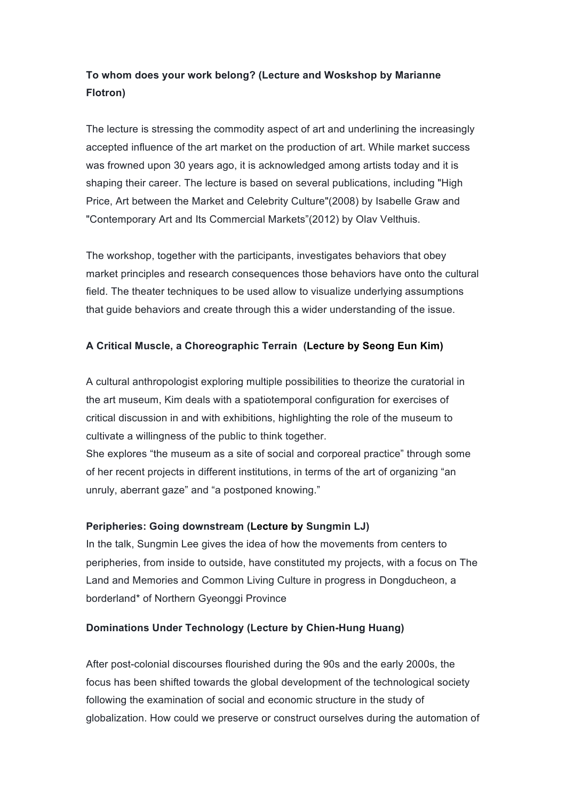# **To whom does your work belong? (Lecture and Woskshop by Marianne Flotron)**

The lecture is stressing the commodity aspect of art and underlining the increasingly accepted influence of the art market on the production of art. While market success was frowned upon 30 years ago, it is acknowledged among artists today and it is shaping their career. The lecture is based on several publications, including "High Price, Art between the Market and Celebrity Culture"(2008) by Isabelle Graw and "Contemporary Art and Its Commercial Markets"(2012) by Olav Velthuis.

The workshop, together with the participants, investigates behaviors that obey market principles and research consequences those behaviors have onto the cultural field. The theater techniques to be used allow to visualize underlying assumptions that guide behaviors and create through this a wider understanding of the issue.

# **A Critical Muscle, a Choreographic Terrain (Lecture by Seong Eun Kim)**

A cultural anthropologist exploring multiple possibilities to theorize the curatorial in the art museum, Kim deals with a spatiotemporal configuration for exercises of critical discussion in and with exhibitions, highlighting the role of the museum to cultivate a willingness of the public to think together.

She explores "the museum as a site of social and corporeal practice" through some of her recent projects in different institutions, in terms of the art of organizing "an unruly, aberrant gaze" and "a postponed knowing."

## **Peripheries: Going downstream (Lecture by Sungmin LJ)**

In the talk, Sungmin Lee gives the idea of how the movements from centers to peripheries, from inside to outside, have constituted my projects, with a focus on The Land and Memories and Common Living Culture in progress in Dongducheon, a borderland\* of Northern Gyeonggi Province

## **Dominations Under Technology (Lecture by Chien-Hung Huang)**

After post-colonial discourses flourished during the 90s and the early 2000s, the focus has been shifted towards the global development of the technological society following the examination of social and economic structure in the study of globalization. How could we preserve or construct ourselves during the automation of